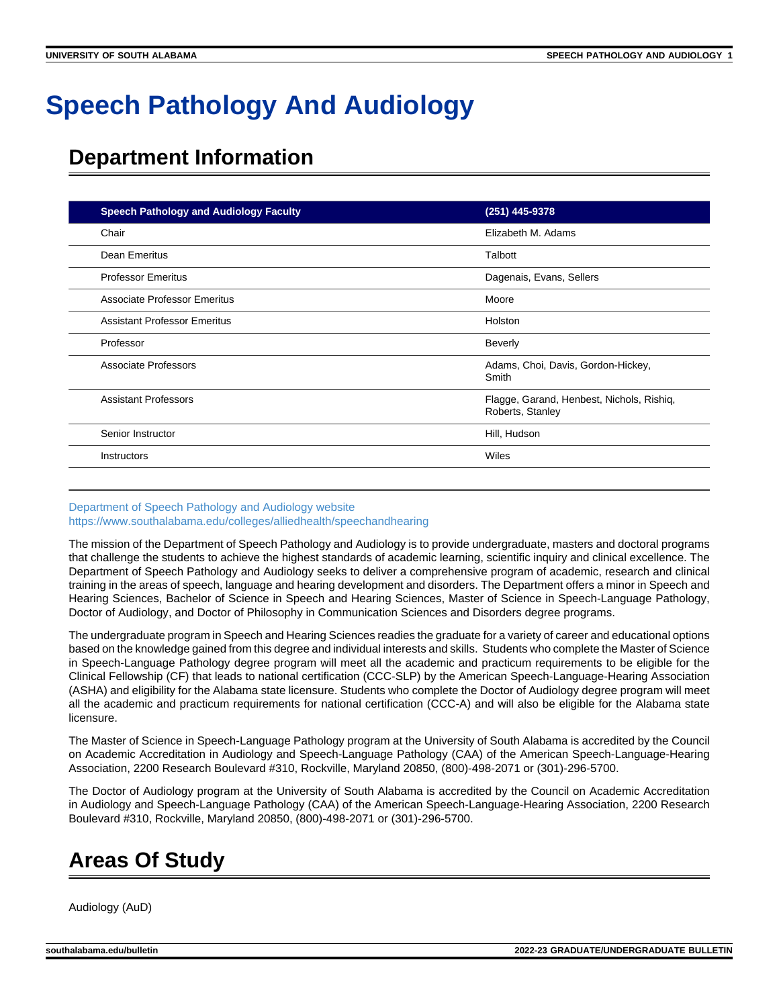# **Speech Pathology And Audiology**

# **Department Information**

| <b>Speech Pathology and Audiology Faculty</b> | (251) 445-9378                                                |  |
|-----------------------------------------------|---------------------------------------------------------------|--|
| Chair                                         | Elizabeth M. Adams                                            |  |
| Dean Emeritus                                 | Talbott                                                       |  |
| <b>Professor Emeritus</b>                     | Dagenais, Evans, Sellers                                      |  |
| <b>Associate Professor Emeritus</b>           | Moore                                                         |  |
| <b>Assistant Professor Emeritus</b>           | Holston                                                       |  |
| Professor                                     | <b>Beverly</b>                                                |  |
| Associate Professors                          | Adams, Choi, Davis, Gordon-Hickey,<br>Smith                   |  |
| <b>Assistant Professors</b>                   | Flagge, Garand, Henbest, Nichols, Rishiq,<br>Roberts, Stanley |  |
| Senior Instructor                             | Hill, Hudson                                                  |  |
| <b>Instructors</b>                            | Wiles                                                         |  |

#### [Department of Speech Pathology and Audiology website](https://www.southalabama.edu/colleges/alliedhealth/speechandhearing) <https://www.southalabama.edu/colleges/alliedhealth/speechandhearing>

The mission of the Department of Speech Pathology and Audiology is to provide undergraduate, masters and doctoral programs that challenge the students to achieve the highest standards of academic learning, scientific inquiry and clinical excellence. The Department of Speech Pathology and Audiology seeks to deliver a comprehensive program of academic, research and clinical training in the areas of speech, language and hearing development and disorders. The Department offers a minor in Speech and Hearing Sciences, Bachelor of Science in Speech and Hearing Sciences, Master of Science in Speech-Language Pathology, Doctor of Audiology, and Doctor of Philosophy in Communication Sciences and Disorders degree programs.

The undergraduate program in Speech and Hearing Sciences readies the graduate for a variety of career and educational options based on the knowledge gained from this degree and individual interests and skills. Students who complete the Master of Science in Speech-Language Pathology degree program will meet all the academic and practicum requirements to be eligible for the Clinical Fellowship (CF) that leads to national certification (CCC-SLP) by the American Speech-Language-Hearing Association (ASHA) and eligibility for the Alabama state licensure. Students who complete the Doctor of Audiology degree program will meet all the academic and practicum requirements for national certification (CCC-A) and will also be eligible for the Alabama state licensure.

The Master of Science in Speech-Language Pathology program at the University of South Alabama is accredited by the Council on Academic Accreditation in Audiology and Speech-Language Pathology (CAA) of the American Speech-Language-Hearing Association, 2200 Research Boulevard #310, Rockville, Maryland 20850, (800)-498-2071 or (301)-296-5700.

The Doctor of Audiology program at the University of South Alabama is accredited by the Council on Academic Accreditation in Audiology and Speech-Language Pathology (CAA) of the American Speech-Language-Hearing Association, 2200 Research Boulevard #310, Rockville, Maryland 20850, (800)-498-2071 or (301)-296-5700.

# **Areas Of Study**

Audiology (AuD)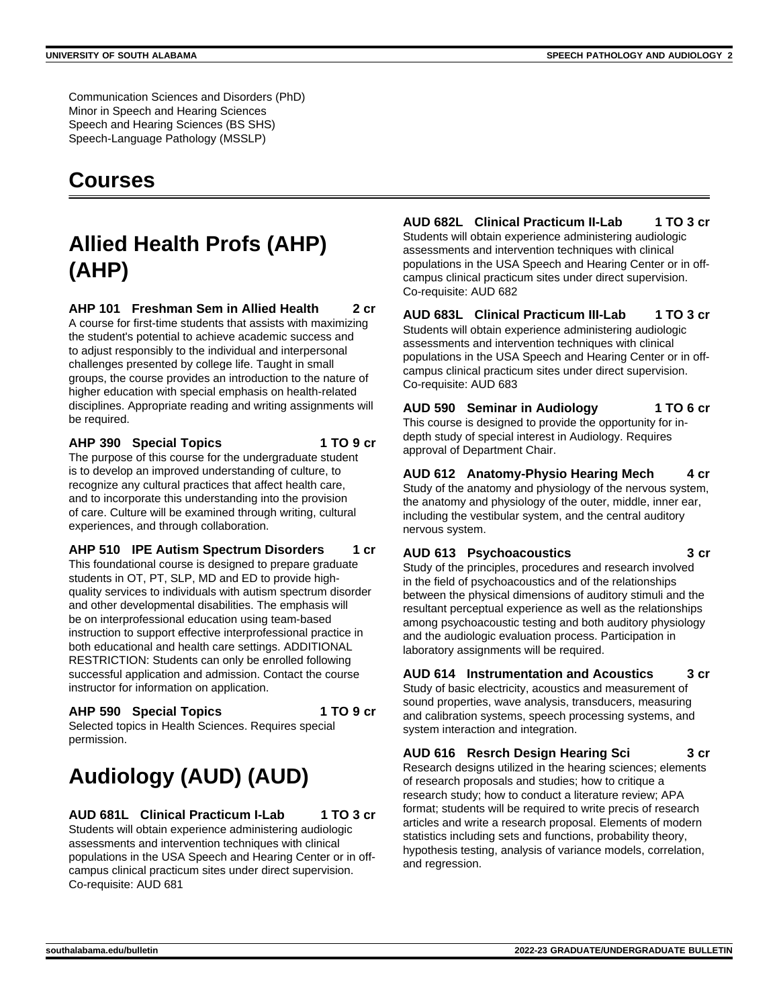Communication Sciences and Disorders (PhD) Minor in Speech and Hearing Sciences Speech and Hearing Sciences (BS SHS) Speech-Language Pathology (MSSLP)

# **Courses**

# **Allied Health Profs (AHP) (AHP)**

**AHP 101 Freshman Sem in Allied Health 2 cr**

A course for first-time students that assists with maximizing the student's potential to achieve academic success and to adjust responsibly to the individual and interpersonal challenges presented by college life. Taught in small groups, the course provides an introduction to the nature of higher education with special emphasis on health-related disciplines. Appropriate reading and writing assignments will be required.

#### **AHP 390 Special Topics 1 TO 9 cr**

The purpose of this course for the undergraduate student is to develop an improved understanding of culture, to recognize any cultural practices that affect health care, and to incorporate this understanding into the provision of care. Culture will be examined through writing, cultural experiences, and through collaboration.

#### **AHP 510 IPE Autism Spectrum Disorders 1 cr**

This foundational course is designed to prepare graduate students in OT, PT, SLP, MD and ED to provide highquality services to individuals with autism spectrum disorder and other developmental disabilities. The emphasis will be on interprofessional education using team-based instruction to support effective interprofessional practice in both educational and health care settings. ADDITIONAL RESTRICTION: Students can only be enrolled following successful application and admission. Contact the course instructor for information on application.

#### **AHP 590 Special Topics 1 TO 9 cr**

Selected topics in Health Sciences. Requires special permission.

# **Audiology (AUD) (AUD)**

**AUD 681L Clinical Practicum I-Lab 1 TO 3 cr**

Students will obtain experience administering audiologic assessments and intervention techniques with clinical populations in the USA Speech and Hearing Center or in offcampus clinical practicum sites under direct supervision. Co-requisite: AUD 681

# **AUD 682L Clinical Practicum II-Lab 1 TO 3 cr**

Students will obtain experience administering audiologic assessments and intervention techniques with clinical populations in the USA Speech and Hearing Center or in offcampus clinical practicum sites under direct supervision. Co-requisite: AUD 682

#### **AUD 683L Clinical Practicum III-Lab 1 TO 3 cr** Students will obtain experience administering audiologic assessments and intervention techniques with clinical populations in the USA Speech and Hearing Center or in offcampus clinical practicum sites under direct supervision. Co-requisite: AUD 683

**AUD 590 Seminar in Audiology 1 TO 6 cr** This course is designed to provide the opportunity for indepth study of special interest in Audiology. Requires approval of Department Chair.

**AUD 612 Anatomy-Physio Hearing Mech 4 cr** Study of the anatomy and physiology of the nervous system, the anatomy and physiology of the outer, middle, inner ear, including the vestibular system, and the central auditory nervous system.

# **AUD 613 Psychoacoustics 3 cr**

Study of the principles, procedures and research involved in the field of psychoacoustics and of the relationships between the physical dimensions of auditory stimuli and the resultant perceptual experience as well as the relationships among psychoacoustic testing and both auditory physiology and the audiologic evaluation process. Participation in laboratory assignments will be required.

**AUD 614 Instrumentation and Acoustics 3 cr** Study of basic electricity, acoustics and measurement of sound properties, wave analysis, transducers, measuring and calibration systems, speech processing systems, and system interaction and integration.

#### **AUD 616 Resrch Design Hearing Sci 3 cr** Research designs utilized in the hearing sciences; elements of research proposals and studies; how to critique a research study; how to conduct a literature review; APA format; students will be required to write precis of research articles and write a research proposal. Elements of modern statistics including sets and functions, probability theory, hypothesis testing, analysis of variance models, correlation, and regression.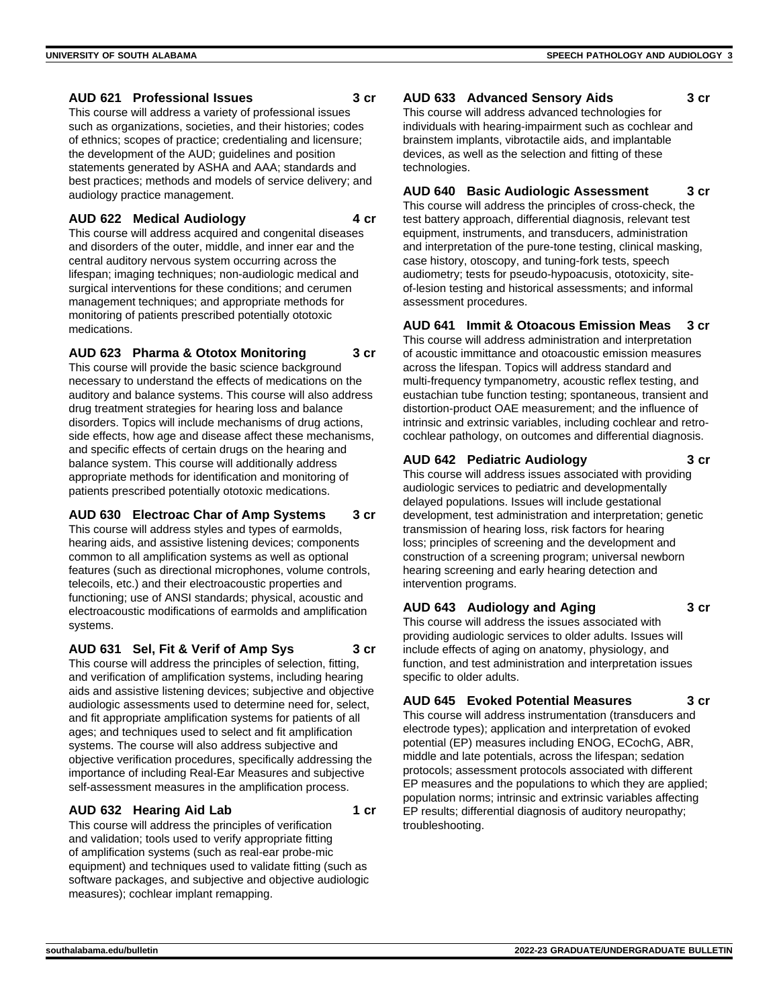#### **AUD 621 Professional Issues 3 cr**

This course will address a variety of professional issues such as organizations, societies, and their histories; codes of ethnics; scopes of practice; credentialing and licensure; the development of the AUD; guidelines and position statements generated by ASHA and AAA; standards and best practices; methods and models of service delivery; and audiology practice management.

#### **AUD 622 Medical Audiology 4 cr**

This course will address acquired and congenital diseases and disorders of the outer, middle, and inner ear and the central auditory nervous system occurring across the lifespan; imaging techniques; non-audiologic medical and surgical interventions for these conditions; and cerumen management techniques; and appropriate methods for monitoring of patients prescribed potentially ototoxic medications.

**AUD 623 Pharma & Ototox Monitoring 3 cr**

This course will provide the basic science background necessary to understand the effects of medications on the auditory and balance systems. This course will also address drug treatment strategies for hearing loss and balance disorders. Topics will include mechanisms of drug actions, side effects, how age and disease affect these mechanisms, and specific effects of certain drugs on the hearing and balance system. This course will additionally address appropriate methods for identification and monitoring of patients prescribed potentially ototoxic medications.

**AUD 630 Electroac Char of Amp Systems 3 cr** This course will address styles and types of earmolds, hearing aids, and assistive listening devices; components common to all amplification systems as well as optional features (such as directional microphones, volume controls, telecoils, etc.) and their electroacoustic properties and functioning; use of ANSI standards; physical, acoustic and electroacoustic modifications of earmolds and amplification systems.

**AUD 631 Sel, Fit & Verif of Amp Sys 3 cr** This course will address the principles of selection, fitting,

and verification of amplification systems, including hearing aids and assistive listening devices; subjective and objective audiologic assessments used to determine need for, select, and fit appropriate amplification systems for patients of all ages; and techniques used to select and fit amplification systems. The course will also address subjective and objective verification procedures, specifically addressing the importance of including Real-Ear Measures and subjective self-assessment measures in the amplification process.

## **AUD 632 Hearing Aid Lab 1 cr**

This course will address the principles of verification and validation; tools used to verify appropriate fitting of amplification systems (such as real-ear probe-mic equipment) and techniques used to validate fitting (such as software packages, and subjective and objective audiologic measures); cochlear implant remapping.

**AUD 633 Advanced Sensory Aids 3 cr**

This course will address advanced technologies for individuals with hearing-impairment such as cochlear and brainstem implants, vibrotactile aids, and implantable devices, as well as the selection and fitting of these technologies.

**AUD 640 Basic Audiologic Assessment 3 cr** This course will address the principles of cross-check, the test battery approach, differential diagnosis, relevant test equipment, instruments, and transducers, administration and interpretation of the pure-tone testing, clinical masking, case history, otoscopy, and tuning-fork tests, speech audiometry; tests for pseudo-hypoacusis, ototoxicity, siteof-lesion testing and historical assessments; and informal assessment procedures.

## **AUD 641 Immit & Otoacous Emission Meas 3 cr**

This course will address administration and interpretation of acoustic immittance and otoacoustic emission measures across the lifespan. Topics will address standard and multi-frequency tympanometry, acoustic reflex testing, and eustachian tube function testing; spontaneous, transient and distortion-product OAE measurement; and the influence of intrinsic and extrinsic variables, including cochlear and retrocochlear pathology, on outcomes and differential diagnosis.

#### **AUD 642 Pediatric Audiology 3 cr**

This course will address issues associated with providing audiologic services to pediatric and developmentally delayed populations. Issues will include gestational development, test administration and interpretation; genetic transmission of hearing loss, risk factors for hearing loss; principles of screening and the development and construction of a screening program; universal newborn hearing screening and early hearing detection and intervention programs.

## **AUD 643 Audiology and Aging 3 cr**

This course will address the issues associated with providing audiologic services to older adults. Issues will include effects of aging on anatomy, physiology, and function, and test administration and interpretation issues specific to older adults.

# **AUD 645 Evoked Potential Measures 3 cr**

This course will address instrumentation (transducers and electrode types); application and interpretation of evoked potential (EP) measures including ENOG, ECochG, ABR, middle and late potentials, across the lifespan; sedation protocols; assessment protocols associated with different EP measures and the populations to which they are applied; population norms; intrinsic and extrinsic variables affecting EP results; differential diagnosis of auditory neuropathy; troubleshooting.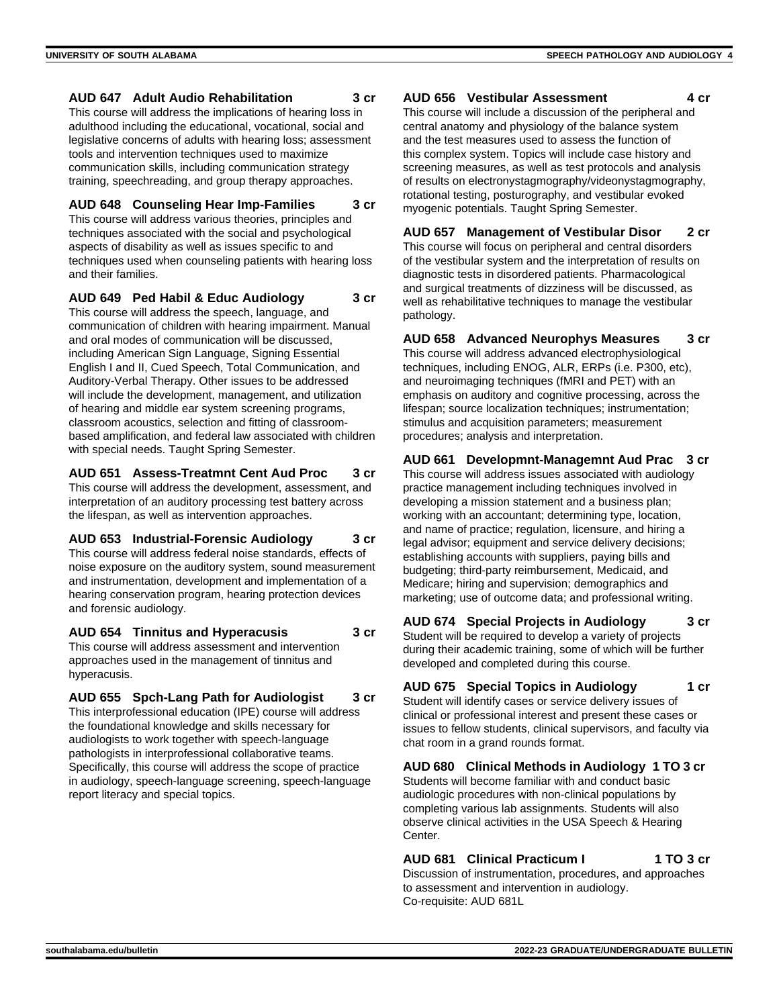#### **AUD 647 Adult Audio Rehabilitation 3 cr**

This course will address the implications of hearing loss in adulthood including the educational, vocational, social and legislative concerns of adults with hearing loss; assessment tools and intervention techniques used to maximize communication skills, including communication strategy training, speechreading, and group therapy approaches.

# **AUD 648 Counseling Hear Imp-Families 3 cr**

This course will address various theories, principles and techniques associated with the social and psychological aspects of disability as well as issues specific to and techniques used when counseling patients with hearing loss and their families.

#### **AUD 649 Ped Habil & Educ Audiology 3 cr**

This course will address the speech, language, and communication of children with hearing impairment. Manual and oral modes of communication will be discussed, including American Sign Language, Signing Essential English I and II, Cued Speech, Total Communication, and Auditory-Verbal Therapy. Other issues to be addressed will include the development, management, and utilization of hearing and middle ear system screening programs, classroom acoustics, selection and fitting of classroombased amplification, and federal law associated with children with special needs. Taught Spring Semester.

#### **AUD 651 Assess-Treatmnt Cent Aud Proc 3 cr**

This course will address the development, assessment, and interpretation of an auditory processing test battery across the lifespan, as well as intervention approaches.

**AUD 653 Industrial-Forensic Audiology 3 cr** This course will address federal noise standards, effects of noise exposure on the auditory system, sound measurement and instrumentation, development and implementation of a hearing conservation program, hearing protection devices and forensic audiology.

#### **AUD 654 Tinnitus and Hyperacusis 3 cr** This course will address assessment and intervention

approaches used in the management of tinnitus and hyperacusis.

**AUD 655 Spch-Lang Path for Audiologist 3 cr** This interprofessional education (IPE) course will address the foundational knowledge and skills necessary for audiologists to work together with speech-language pathologists in interprofessional collaborative teams. Specifically, this course will address the scope of practice in audiology, speech-language screening, speech-language report literacy and special topics.

#### **AUD 656 Vestibular Assessment 4 cr**

This course will include a discussion of the peripheral and central anatomy and physiology of the balance system and the test measures used to assess the function of this complex system. Topics will include case history and screening measures, as well as test protocols and analysis of results on electronystagmography/videonystagmography, rotational testing, posturography, and vestibular evoked myogenic potentials. Taught Spring Semester.

**AUD 657 Management of Vestibular Disor 2 cr** This course will focus on peripheral and central disorders of the vestibular system and the interpretation of results on diagnostic tests in disordered patients. Pharmacological and surgical treatments of dizziness will be discussed, as well as rehabilitative techniques to manage the vestibular pathology.

#### **AUD 658 Advanced Neurophys Measures 3 cr** This course will address advanced electrophysiological techniques, including ENOG, ALR, ERPs (i.e. P300, etc), and neuroimaging techniques (fMRI and PET) with an emphasis on auditory and cognitive processing, across the

lifespan; source localization techniques; instrumentation; stimulus and acquisition parameters; measurement procedures; analysis and interpretation.

#### **AUD 661 Developmnt-Managemnt Aud Prac 3 cr**

This course will address issues associated with audiology practice management including techniques involved in developing a mission statement and a business plan; working with an accountant; determining type, location, and name of practice; regulation, licensure, and hiring a legal advisor; equipment and service delivery decisions; establishing accounts with suppliers, paying bills and budgeting; third-party reimbursement, Medicaid, and Medicare; hiring and supervision; demographics and marketing; use of outcome data; and professional writing.

#### **AUD 674 Special Projects in Audiology 3 cr** Student will be required to develop a variety of projects during their academic training, some of which will be further developed and completed during this course.

**AUD 675 Special Topics in Audiology 1 cr** Student will identify cases or service delivery issues of clinical or professional interest and present these cases or issues to fellow students, clinical supervisors, and faculty via chat room in a grand rounds format.

#### **AUD 680 Clinical Methods in Audiology 1 TO 3 cr** Students will become familiar with and conduct basic audiologic procedures with non-clinical populations by completing various lab assignments. Students will also observe clinical activities in the USA Speech & Hearing Center.

**AUD 681 Clinical Practicum I 1 TO 3 cr** Discussion of instrumentation, procedures, and approaches to assessment and intervention in audiology. Co-requisite: AUD 681L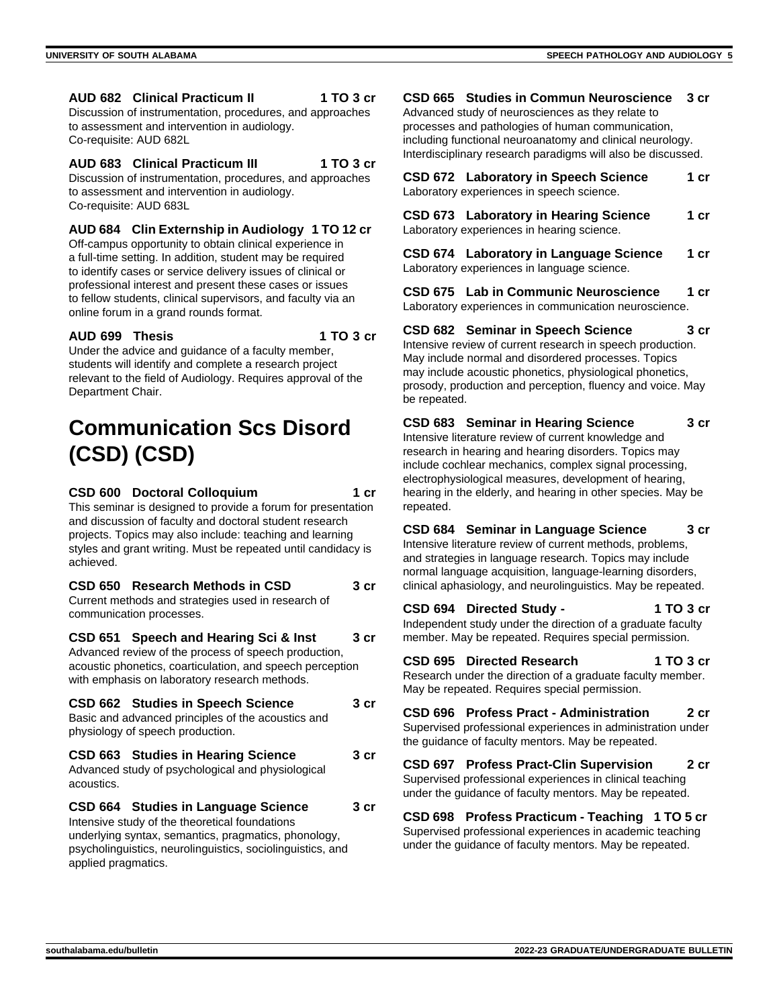**AUD 682 Clinical Practicum II 1 TO 3 cr**

Discussion of instrumentation, procedures, and approaches to assessment and intervention in audiology. Co-requisite: AUD 682L

#### **AUD 683 Clinical Practicum III 1 TO 3 cr**

Discussion of instrumentation, procedures, and approaches to assessment and intervention in audiology. Co-requisite: AUD 683L

#### **AUD 684 Clin Externship in Audiology 1 TO 12 cr**

Off-campus opportunity to obtain clinical experience in a full-time setting. In addition, student may be required to identify cases or service delivery issues of clinical or professional interest and present these cases or issues to fellow students, clinical supervisors, and faculty via an online forum in a grand rounds format.

#### **AUD 699 Thesis 1 TO 3 cr**

Under the advice and guidance of a faculty member, students will identify and complete a research project relevant to the field of Audiology. Requires approval of the Department Chair.

# **Communication Scs Disord (CSD) (CSD)**

#### **CSD 600 Doctoral Colloquium 1 cr**

This seminar is designed to provide a forum for presentation and discussion of faculty and doctoral student research projects. Topics may also include: teaching and learning styles and grant writing. Must be repeated until candidacy is achieved.

| CSD 650 Research Methods in CSD                                                | 3 <sub>cr</sub> |
|--------------------------------------------------------------------------------|-----------------|
| Current methods and strategies used in research of<br>communication processes. |                 |
| CSD 651 Speech and Hearing Sci & Inst                                          | 3 cr            |

Advanced review of the process of speech production, acoustic phonetics, coarticulation, and speech perception with emphasis on laboratory research methods.

| <b>CSD 662 Studies in Speech Science</b><br>Basic and advanced principles of the acoustics and<br>physiology of speech production. |      |  |
|------------------------------------------------------------------------------------------------------------------------------------|------|--|
| CSD 663 Studies in Hearing Science<br>Advanced study of psychological and physiological<br>acoustics.                              | 3 cr |  |
| CSD 664 Studies in Language Science                                                                                                | 3 cr |  |

Intensive study of the theoretical foundations underlying syntax, semantics, pragmatics, phonology, psycholinguistics, neurolinguistics, sociolinguistics, and applied pragmatics.

#### **CSD 665 Studies in Commun Neuroscience 3 cr**

Advanced study of neurosciences as they relate to processes and pathologies of human communication, including functional neuroanatomy and clinical neurology. Interdisciplinary research paradigms will also be discussed.

| CSD 672 Laboratory in Speech Science      | 1 cr |
|-------------------------------------------|------|
| Laboratory experiences in speech science. |      |

**CSD 673 Laboratory in Hearing Science 1 cr** Laboratory experiences in hearing science.

**CSD 674 Laboratory in Language Science 1 cr** Laboratory experiences in language science.

**CSD 675 Lab in Communic Neuroscience 1 cr** Laboratory experiences in communication neuroscience.

**CSD 682 Seminar in Speech Science 3 cr** Intensive review of current research in speech production. May include normal and disordered processes. Topics may include acoustic phonetics, physiological phonetics, prosody, production and perception, fluency and voice. May be repeated.

**CSD 683 Seminar in Hearing Science 3 cr** Intensive literature review of current knowledge and research in hearing and hearing disorders. Topics may include cochlear mechanics, complex signal processing, electrophysiological measures, development of hearing, hearing in the elderly, and hearing in other species. May be repeated.

**CSD 684 Seminar in Language Science 3 cr** Intensive literature review of current methods, problems, and strategies in language research. Topics may include normal language acquisition, language-learning disorders, clinical aphasiology, and neurolinguistics. May be repeated.

#### **CSD 694 Directed Study - 1 TO 3 cr**

Independent study under the direction of a graduate faculty member. May be repeated. Requires special permission.

**CSD 695 Directed Research 1 TO 3 cr** Research under the direction of a graduate faculty member. May be repeated. Requires special permission.

**CSD 696 Profess Pract - Administration 2 cr** Supervised professional experiences in administration under the guidance of faculty mentors. May be repeated.

**CSD 697 Profess Pract-Clin Supervision 2 cr** Supervised professional experiences in clinical teaching under the guidance of faculty mentors. May be repeated.

**CSD 698 Profess Practicum - Teaching 1 TO 5 cr** Supervised professional experiences in academic teaching under the guidance of faculty mentors. May be repeated.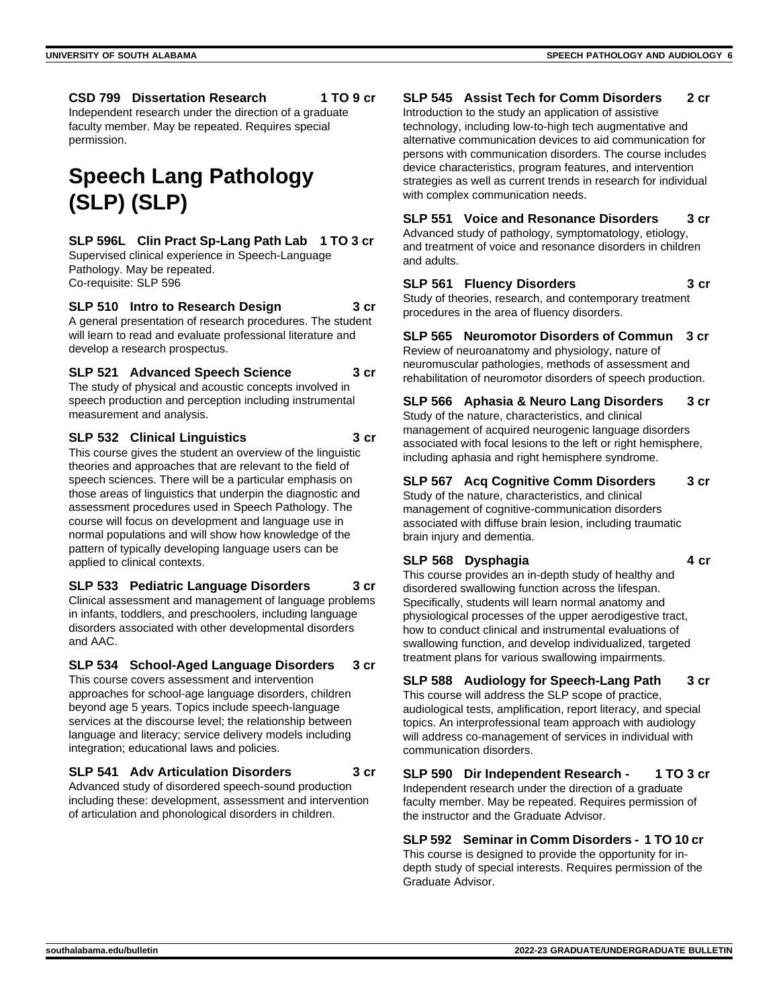**CSD 799 Dissertation Research 1 TO 9 cr**

Independent research under the direction of a graduate faculty member. May be repeated. Requires special permission.

# **Speech Lang Pathology (SLP) (SLP)**

# **SLP 596L Clin Pract Sp-Lang Path Lab 1 TO 3 cr**

Supervised clinical experience in Speech-Language Pathology. May be repeated. Co-requisite: SLP 596

#### **SLP 510 Intro to Research Design 3 cr**

A general presentation of research procedures. The student will learn to read and evaluate professional literature and develop a research prospectus.

## **SLP 521 Advanced Speech Science 3 cr**

The study of physical and acoustic concepts involved in speech production and perception including instrumental measurement and analysis.

**SLP 532 Clinical Linguistics 3 cr**

This course gives the student an overview of the linguistic theories and approaches that are relevant to the field of speech sciences. There will be a particular emphasis on those areas of linguistics that underpin the diagnostic and assessment procedures used in Speech Pathology. The course will focus on development and language use in normal populations and will show how knowledge of the pattern of typically developing language users can be applied to clinical contexts.

## **SLP 533 Pediatric Language Disorders 3 cr**

Clinical assessment and management of language problems in infants, toddlers, and preschoolers, including language disorders associated with other developmental disorders and AAC.

#### **SLP 534 School-Aged Language Disorders 3 cr**

This course covers assessment and intervention approaches for school-age language disorders, children beyond age 5 years. Topics include speech-language services at the discourse level; the relationship between language and literacy; service delivery models including integration; educational laws and policies.

#### **SLP 541 Adv Articulation Disorders 3 cr**

Advanced study of disordered speech-sound production including these: development, assessment and intervention of articulation and phonological disorders in children.

#### **SLP 545 Assist Tech for Comm Disorders 2 cr**

Introduction to the study an application of assistive technology, including low-to-high tech augmentative and alternative communication devices to aid communication for persons with communication disorders. The course includes device characteristics, program features, and intervention strategies as well as current trends in research for individual with complex communication needs.

#### **SLP 551 Voice and Resonance Disorders 3 cr** Advanced study of pathology, symptomatology, etiology,

and treatment of voice and resonance disorders in children and adults.

## **SLP 561 Fluency Disorders 3 cr**

Study of theories, research, and contemporary treatment procedures in the area of fluency disorders.

**SLP 565 Neuromotor Disorders of Commun 3 cr** Review of neuroanatomy and physiology, nature of neuromuscular pathologies, methods of assessment and rehabilitation of neuromotor disorders of speech production.

**SLP 566 Aphasia & Neuro Lang Disorders 3 cr** Study of the nature, characteristics, and clinical management of acquired neurogenic language disorders associated with focal lesions to the left or right hemisphere, including aphasia and right hemisphere syndrome.

# **SLP 567 Acq Cognitive Comm Disorders 3 cr**

Study of the nature, characteristics, and clinical management of cognitive-communication disorders associated with diffuse brain lesion, including traumatic brain injury and dementia.

## **SLP 568 Dysphagia 4 cr**

This course provides an in-depth study of healthy and disordered swallowing function across the lifespan. Specifically, students will learn normal anatomy and physiological processes of the upper aerodigestive tract, how to conduct clinical and instrumental evaluations of swallowing function, and develop individualized, targeted treatment plans for various swallowing impairments.

## **SLP 588 Audiology for Speech-Lang Path 3 cr**

This course will address the SLP scope of practice, audiological tests, amplification, report literacy, and special topics. An interprofessional team approach with audiology will address co-management of services in individual with communication disorders.

**SLP 590 Dir Independent Research - 1 TO 3 cr** Independent research under the direction of a graduate faculty member. May be repeated. Requires permission of the instructor and the Graduate Advisor.

**SLP 592 Seminar in Comm Disorders - 1 TO 10 cr** This course is designed to provide the opportunity for indepth study of special interests. Requires permission of the Graduate Advisor.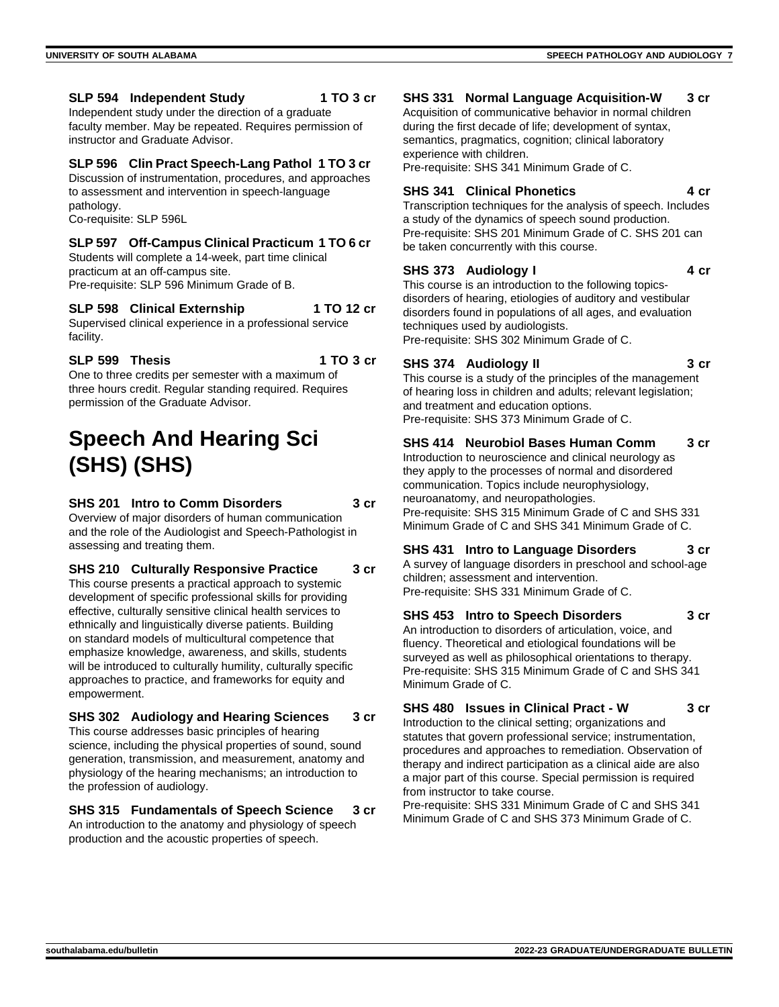#### **SLP 594 Independent Study 1 TO 3 cr**

Independent study under the direction of a graduate faculty member. May be repeated. Requires permission of instructor and Graduate Advisor.

#### **SLP 596 Clin Pract Speech-Lang Pathol 1 TO 3 cr**

Discussion of instrumentation, procedures, and approaches to assessment and intervention in speech-language pathology. Co-requisite: SLP 596L

#### **SLP 597 Off-Campus Clinical Practicum 1 TO 6 cr**

Students will complete a 14-week, part time clinical practicum at an off-campus site. Pre-requisite: SLP 596 Minimum Grade of B.

## **SLP 598 Clinical Externship 1 TO 12 cr**

Supervised clinical experience in a professional service facility.

**SLP 599 Thesis 1 TO 3 cr**

One to three credits per semester with a maximum of three hours credit. Regular standing required. Requires permission of the Graduate Advisor.

# **Speech And Hearing Sci (SHS) (SHS)**

#### **SHS 201 Intro to Comm Disorders 3 cr**

Overview of major disorders of human communication and the role of the Audiologist and Speech-Pathologist in assessing and treating them.

**SHS 210 Culturally Responsive Practice 3 cr**

This course presents a practical approach to systemic development of specific professional skills for providing effective, culturally sensitive clinical health services to ethnically and linguistically diverse patients. Building on standard models of multicultural competence that emphasize knowledge, awareness, and skills, students will be introduced to culturally humility, culturally specific approaches to practice, and frameworks for equity and empowerment.

#### **SHS 302 Audiology and Hearing Sciences 3 cr** This course addresses basic principles of hearing

science, including the physical properties of sound, sound generation, transmission, and measurement, anatomy and physiology of the hearing mechanisms; an introduction to the profession of audiology.

#### **SHS 315 Fundamentals of Speech Science 3 cr**

An introduction to the anatomy and physiology of speech production and the acoustic properties of speech.

#### **SHS 331 Normal Language Acquisition-W 3 cr**

Acquisition of communicative behavior in normal children during the first decade of life; development of syntax, semantics, pragmatics, cognition; clinical laboratory experience with children.

Pre-requisite: SHS 341 Minimum Grade of C.

#### **SHS 341 Clinical Phonetics 4 cr**

Transcription techniques for the analysis of speech. Includes a study of the dynamics of speech sound production. Pre-requisite: SHS 201 Minimum Grade of C. SHS 201 can be taken concurrently with this course.

#### **SHS 373 Audiology I 4 cr**

This course is an introduction to the following topicsdisorders of hearing, etiologies of auditory and vestibular disorders found in populations of all ages, and evaluation techniques used by audiologists. Pre-requisite: SHS 302 Minimum Grade of C.

#### **SHS 374 Audiology II 3 cr**

This course is a study of the principles of the management of hearing loss in children and adults; relevant legislation; and treatment and education options. Pre-requisite: SHS 373 Minimum Grade of C.

#### **SHS 414 Neurobiol Bases Human Comm 3 cr**

Introduction to neuroscience and clinical neurology as they apply to the processes of normal and disordered communication. Topics include neurophysiology, neuroanatomy, and neuropathologies. Pre-requisite: SHS 315 Minimum Grade of C and SHS 331 Minimum Grade of C and SHS 341 Minimum Grade of C.

**SHS 431 Intro to Language Disorders 3 cr** A survey of language disorders in preschool and school-age children; assessment and intervention. Pre-requisite: SHS 331 Minimum Grade of C.

**SHS 453 Intro to Speech Disorders 3 cr** An introduction to disorders of articulation, voice, and fluency. Theoretical and etiological foundations will be surveyed as well as philosophical orientations to therapy. Pre-requisite: SHS 315 Minimum Grade of C and SHS 341 Minimum Grade of C.

## **SHS 480 Issues in Clinical Pract - W 3 cr**

Introduction to the clinical setting; organizations and statutes that govern professional service; instrumentation, procedures and approaches to remediation. Observation of therapy and indirect participation as a clinical aide are also a major part of this course. Special permission is required from instructor to take course.

Pre-requisite: SHS 331 Minimum Grade of C and SHS 341 Minimum Grade of C and SHS 373 Minimum Grade of C.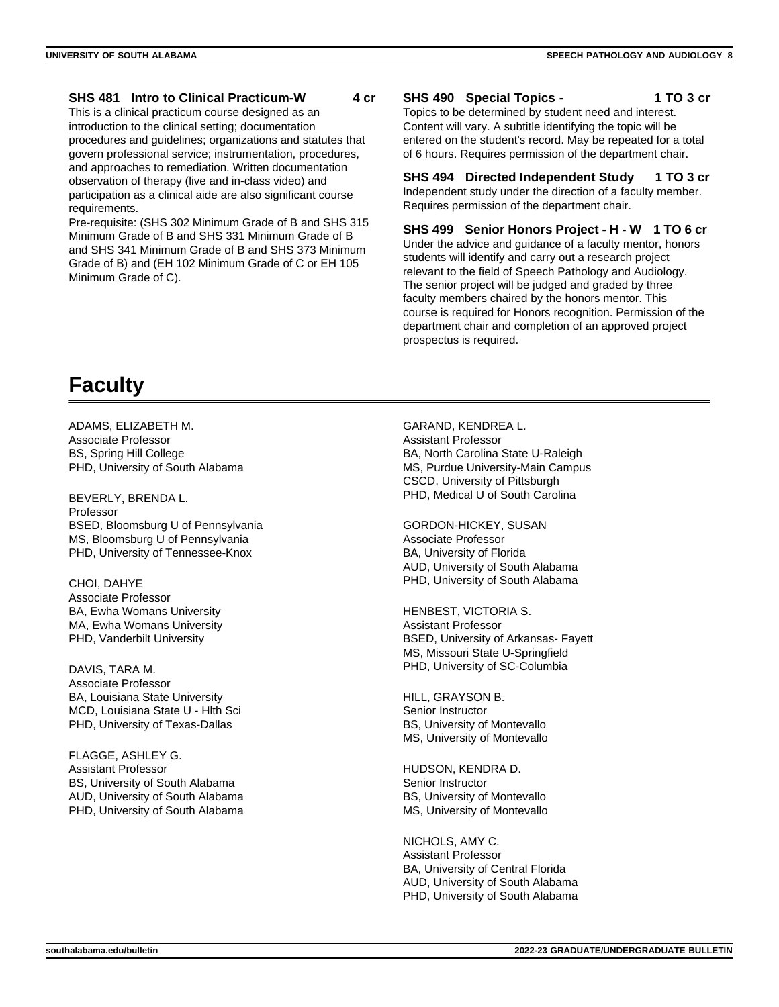#### **SHS 481 Intro to Clinical Practicum-W 4 cr**

This is a clinical practicum course designed as an introduction to the clinical setting; documentation procedures and guidelines; organizations and statutes that govern professional service; instrumentation, procedures, and approaches to remediation. Written documentation observation of therapy (live and in-class video) and participation as a clinical aide are also significant course requirements.

Pre-requisite: (SHS 302 Minimum Grade of B and SHS 315 Minimum Grade of B and SHS 331 Minimum Grade of B and SHS 341 Minimum Grade of B and SHS 373 Minimum Grade of B) and (EH 102 Minimum Grade of C or EH 105 Minimum Grade of C).

#### **SHS 490 Special Topics - 1 TO 3 cr**

Topics to be determined by student need and interest. Content will vary. A subtitle identifying the topic will be entered on the student's record. May be repeated for a total of 6 hours. Requires permission of the department chair.

# **SHS 494 Directed Independent Study 1 TO 3 cr**

Independent study under the direction of a faculty member. Requires permission of the department chair.

**SHS 499 Senior Honors Project - H - W 1 TO 6 cr** Under the advice and guidance of a faculty mentor, honors students will identify and carry out a research project relevant to the field of Speech Pathology and Audiology. The senior project will be judged and graded by three faculty members chaired by the honors mentor. This course is required for Honors recognition. Permission of the department chair and completion of an approved project prospectus is required.

# **Faculty**

ADAMS, ELIZABETH M. Associate Professor BS, Spring Hill College PHD, University of South Alabama

BEVERLY, BRENDA L. Professor BSED, Bloomsburg U of Pennsylvania MS, Bloomsburg U of Pennsylvania PHD, University of Tennessee-Knox

CHOI, DAHYE Associate Professor BA, Ewha Womans University MA, Ewha Womans University PHD, Vanderbilt University

DAVIS, TARA M. Associate Professor BA, Louisiana State University MCD, Louisiana State U - Hlth Sci PHD, University of Texas-Dallas

FLAGGE, ASHLEY G. Assistant Professor BS, University of South Alabama AUD, University of South Alabama PHD, University of South Alabama

GARAND, KENDREA L. Assistant Professor BA, North Carolina State U-Raleigh MS, Purdue University-Main Campus CSCD, University of Pittsburgh PHD, Medical U of South Carolina

GORDON-HICKEY, SUSAN Associate Professor BA, University of Florida AUD, University of South Alabama PHD, University of South Alabama

HENBEST, VICTORIA S. Assistant Professor BSED, University of Arkansas- Fayett MS, Missouri State U-Springfield PHD, University of SC-Columbia

HILL, GRAYSON B. Senior Instructor BS, University of Montevallo MS, University of Montevallo

HUDSON, KENDRA D. Senior Instructor BS, University of Montevallo MS, University of Montevallo

NICHOLS, AMY C. Assistant Professor BA, University of Central Florida AUD, University of South Alabama PHD, University of South Alabama